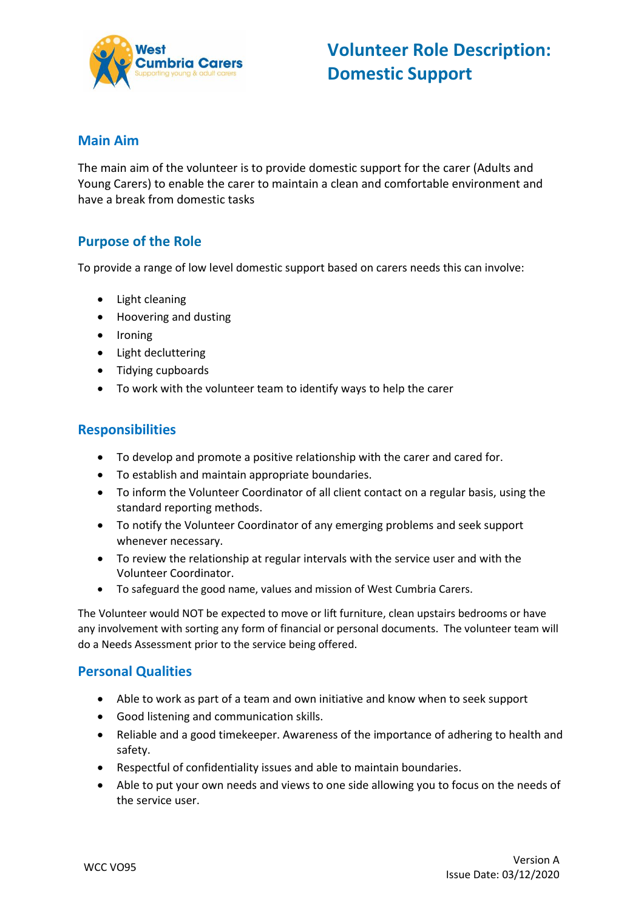

#### **Main Aim**

The main aim of the volunteer is to provide domestic support for the carer (Adults and Young Carers) to enable the carer to maintain a clean and comfortable environment and have a break from domestic tasks

## **Purpose of the Role**

To provide a range of low level domestic support based on carers needs this can involve:

- Light cleaning
- Hoovering and dusting
- Ironing
- Light decluttering
- Tidying cupboards
- To work with the volunteer team to identify ways to help the carer

#### **Responsibilities**

- To develop and promote a positive relationship with the carer and cared for.
- To establish and maintain appropriate boundaries.
- To inform the Volunteer Coordinator of all client contact on a regular basis, using the standard reporting methods.
- To notify the Volunteer Coordinator of any emerging problems and seek support whenever necessary.
- To review the relationship at regular intervals with the service user and with the Volunteer Coordinator.
- To safeguard the good name, values and mission of West Cumbria Carers.

The Volunteer would NOT be expected to move or lift furniture, clean upstairs bedrooms or have any involvement with sorting any form of financial or personal documents. The volunteer team will do a Needs Assessment prior to the service being offered.

### **Personal Qualities**

- Able to work as part of a team and own initiative and know when to seek support
- Good listening and communication skills.
- Reliable and a good timekeeper. Awareness of the importance of adhering to health and safety.
- Respectful of confidentiality issues and able to maintain boundaries.
- Able to put your own needs and views to one side allowing you to focus on the needs of the service user.